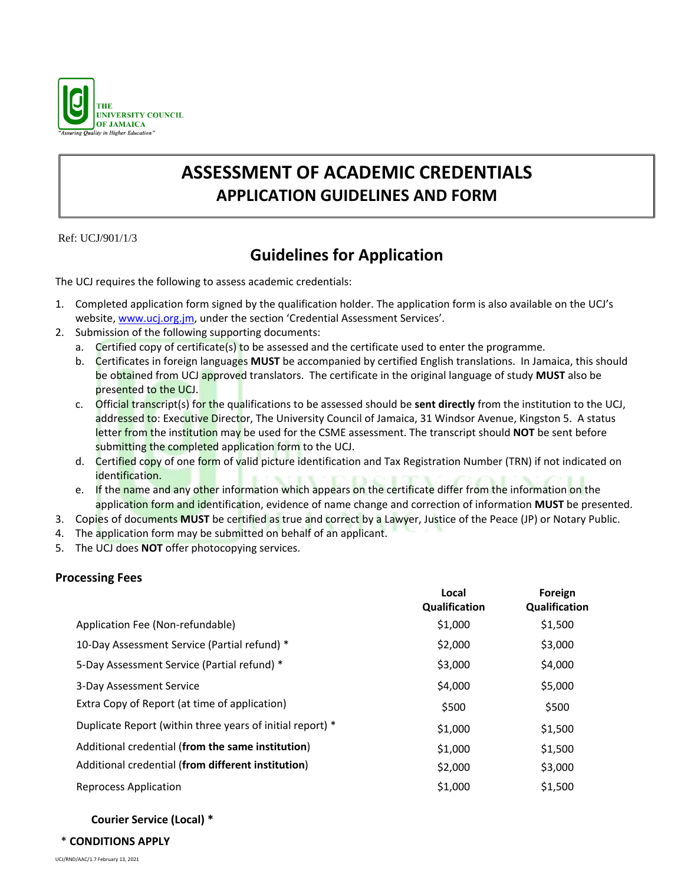

# **ASSESSMENT OF ACADEMIC CREDENTIALS APPLICATION GUIDELINES AND FORM**

Ref: UCJ/901/1/3

## **Guidelines for Application**

The UCJ requires the following to assess academic credentials:

- 1. Completed application form signed by the qualification holder. The application form is also available on the UCJ's website, [www.ucj.org.jm,](http://www.ucj.org.jm/) under the section 'Credential Assessment Services'.
- 2. Submission of the following supporting documents:
	- a. Certified copy of certificate(s) to be assessed and the certificate used to enter the programme.
	- b. Certificates in foreign languages **MUST** be accompanied by certified English translations. In Jamaica, this should be obtained from UCJ approved translators. The certificate in the original language of study **MUST** also be presented to the UCJ.
	- c. Official transcript(s) for the qualifications to be assessed should be **sent directly** from the institution to the UCJ, addressed to: Executive Director, The University Council of Jamaica, 31 Windsor Avenue, Kingston 5. A status letter from the institution may be used for the CSME assessment. The transcript should **NOT** be sent before submitting the completed application form to the UCJ.
	- d. Certified copy of one form of valid picture identification and Tax Registration Number (TRN) if not indicated on identification.
	- e. If the name and any other information which appears on the certificate differ from the information on the application form and identification, evidence of name change and correction of information **MUST** be presented.
- 3. Copies of documents **MUST** be certified as true and correct by a Lawyer, Justice of the Peace (JP) or Notary Public.
- 4. The application form may be submitted on behalf of an applicant.
- 5. The UCJ does **NOT** offer photocopying services.

### **Processing Fees**

|                                                           | Local<br>Qualification | Foreign<br>Qualification |
|-----------------------------------------------------------|------------------------|--------------------------|
| Application Fee (Non-refundable)                          | \$1,000                | \$1,500                  |
| 10-Day Assessment Service (Partial refund) *              | \$2,000                | \$3,000                  |
| 5-Day Assessment Service (Partial refund) *               | \$3,000                | \$4,000                  |
| 3-Day Assessment Service                                  | \$4,000                | \$5,000                  |
| Extra Copy of Report (at time of application)             | \$500                  | \$500                    |
| Duplicate Report (within three years of initial report) * | \$1,000                | \$1,500                  |
| Additional credential (from the same institution)         | \$1,000                | \$1,500                  |
| Additional credential (from different institution)        | \$2,000                | \$3,000                  |
| <b>Reprocess Application</b>                              | \$1,000                | \$1,500                  |
|                                                           |                        |                          |

### **Courier Service (Local) \***

### \* **CONDITIONS APPLY**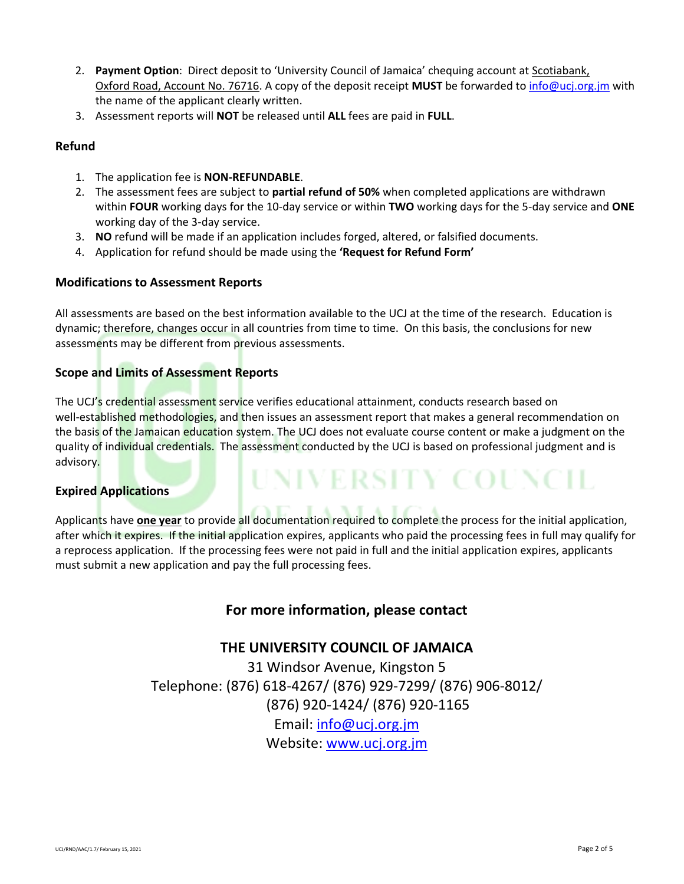- 2. **Payment Option**: Direct deposit to 'University Council of Jamaica' chequing account at Scotiabank, Oxford Road, Account No. 76716. A copy of the deposit receipt **MUST** be forwarded to info@ucj.org.jm with the name of the applicant clearly written.
- 3. Assessment reports will **NOT** be released until **ALL** fees are paid in **FULL**.

#### **Refund**

- 1. The application fee is **NON-REFUNDABLE**.
- 2. The assessment fees are subject to **partial refund of 50%** when completed applications are withdrawn within **FOUR** working days for the 10-day service or within **TWO** working days for the 5-day service and **ONE** working day of the 3-day service.
- 3. **NO** refund will be made if an application includes forged, altered, or falsified documents.
- 4. Application for refund should be made using the **'Request for Refund Form'**

#### **Modifications to Assessment Reports**

All assessments are based on the best information available to the UCJ at the time of the research. Education is dynamic; therefore, changes occur in all countries from time to time. On this basis, the conclusions for new assessments may be different from previous assessments.

#### **Scope and Limits of Assessment Reports**

The UCJ's credential assessment service verifies educational attainment, conducts research based on well-established methodologies, and then issues an assessment report that makes a general recommendation on the basis of the Jamaican education system. The UCJ does not evaluate course content or make a judgment on the quality of individual credentials. The assessment conducted by the UCJ is based on professional judgment and is advisory. **UNIVERSITY COUNCIL** 

#### **Expired Applications**

Applicants have **one year** to provide all documentation required to complete the process for the initial application, after which it expires. If the initial application expires, applicants who paid the processing fees in full may qualify for a reprocess application. If the processing fees were not paid in full and the initial application expires, applicants must submit a new application and pay the full processing fees.

### **For more information, please contact**

#### **THE UNIVERSITY COUNCIL OF JAMAICA**

31 Windsor Avenue, Kingston 5 Telephone: (876) 618-4267/ (876) 929-7299/ (876) 906-8012/ (876) 920-1424/ (876) 920-1165 Email: info@ucj.org.jm Website: www.ucj.org.jm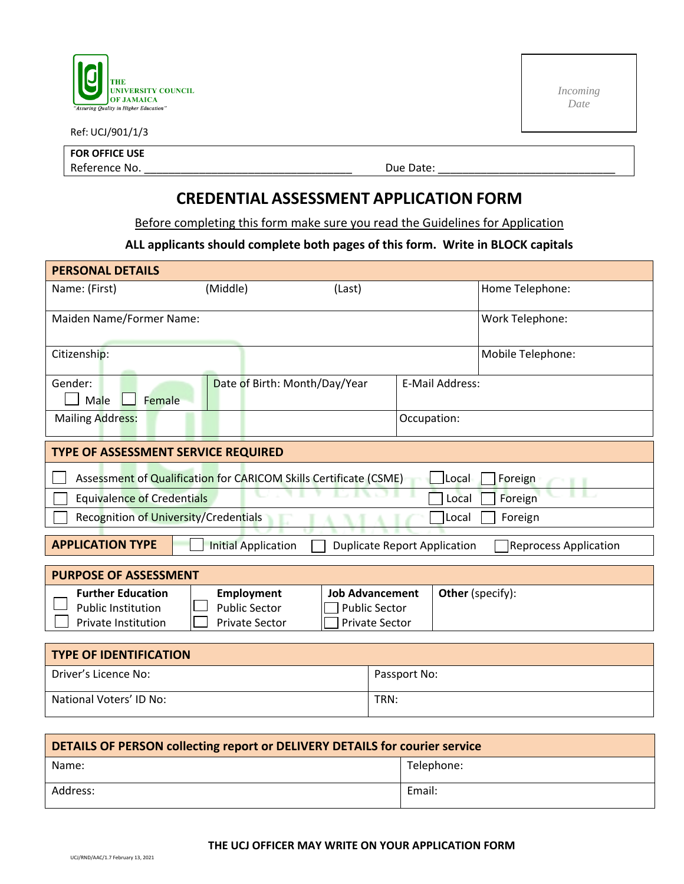

Ref: UCJ/901/1/3

*Incoming Date* 

**FOR OFFICE USE** Reference No. \_\_\_\_\_\_\_\_\_\_\_\_\_\_\_\_\_\_\_\_\_\_\_\_\_\_\_\_\_\_\_\_\_\_ Due Date: \_\_\_\_\_\_\_\_\_\_\_\_\_\_\_\_\_\_\_\_\_\_\_\_\_\_\_\_\_

### **CREDENTIAL ASSESSMENT APPLICATION FORM**

Before completing this form make sure you read the Guidelines for Application

#### **ALL applicants should complete both pages of this form. Write in BLOCK capitals**

| <b>PERSONAL DETAILS</b>                                                                                                      |                                                                    |                                                                         |                        |  |  |  |
|------------------------------------------------------------------------------------------------------------------------------|--------------------------------------------------------------------|-------------------------------------------------------------------------|------------------------|--|--|--|
| Name: (First)                                                                                                                | (Middle)                                                           | (Last)                                                                  | Home Telephone:        |  |  |  |
| Maiden Name/Former Name:                                                                                                     |                                                                    |                                                                         | Work Telephone:        |  |  |  |
| Citizenship:                                                                                                                 |                                                                    |                                                                         | Mobile Telephone:      |  |  |  |
| Gender:<br>Male<br>Female                                                                                                    | Date of Birth: Month/Day/Year                                      |                                                                         | <b>E-Mail Address:</b> |  |  |  |
| <b>Mailing Address:</b>                                                                                                      |                                                                    |                                                                         | Occupation:            |  |  |  |
| TYPE OF ASSESSMENT SERVICE REQUIRED                                                                                          |                                                                    |                                                                         |                        |  |  |  |
| Assessment of Qualification for CARICOM Skills Certificate (CSME)<br>Local<br>Foreign                                        |                                                                    |                                                                         |                        |  |  |  |
| Foreign<br><b>Equivalence of Credentials</b><br>Local                                                                        |                                                                    |                                                                         |                        |  |  |  |
| Recognition of University/Credentials<br>Foreign<br>Local                                                                    |                                                                    |                                                                         |                        |  |  |  |
| <b>APPLICATION TYPE</b><br><b>Initial Application</b><br><b>Duplicate Report Application</b><br><b>Reprocess Application</b> |                                                                    |                                                                         |                        |  |  |  |
| <b>PURPOSE OF ASSESSMENT</b>                                                                                                 |                                                                    |                                                                         |                        |  |  |  |
| <b>Further Education</b><br><b>Public Institution</b><br>Private Institution                                                 | <b>Employment</b><br><b>Public Sector</b><br><b>Private Sector</b> | <b>Job Advancement</b><br><b>Public Sector</b><br><b>Private Sector</b> | Other (specify):       |  |  |  |
| <b>TYPE OF IDENTIFICATION</b>                                                                                                |                                                                    |                                                                         |                        |  |  |  |
| Driver's Licence No:                                                                                                         |                                                                    |                                                                         | Passport No:           |  |  |  |
| National Voters' ID No:                                                                                                      |                                                                    | TRN:                                                                    |                        |  |  |  |
|                                                                                                                              |                                                                    |                                                                         |                        |  |  |  |

| DETAILS OF PERSON collecting report or DELIVERY DETAILS for courier service |            |  |  |
|-----------------------------------------------------------------------------|------------|--|--|
| Name:                                                                       | Telephone: |  |  |
| Address:                                                                    | Email:     |  |  |

#### **THE UCJ OFFICER MAY WRITE ON YOUR APPLICATION FORM**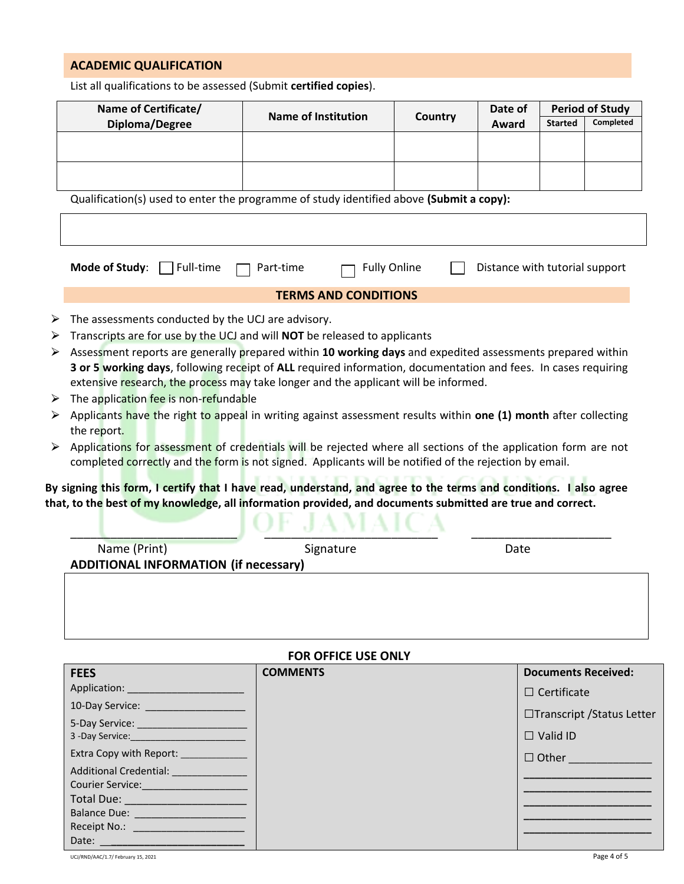#### **ACADEMIC QUALIFICATION**

List all qualifications to be assessed (Submit **certified copies**).

| Name of Certificate/                                                           | <b>Name of Institution</b>                                                                                                                                                                                               | Country             | Date of                        | <b>Period of Study</b> |                                                           |
|--------------------------------------------------------------------------------|--------------------------------------------------------------------------------------------------------------------------------------------------------------------------------------------------------------------------|---------------------|--------------------------------|------------------------|-----------------------------------------------------------|
| Diploma/Degree                                                                 |                                                                                                                                                                                                                          |                     | Award                          | <b>Started</b>         | Completed                                                 |
|                                                                                |                                                                                                                                                                                                                          |                     |                                |                        |                                                           |
|                                                                                |                                                                                                                                                                                                                          |                     |                                |                        |                                                           |
|                                                                                |                                                                                                                                                                                                                          |                     |                                |                        |                                                           |
|                                                                                | Qualification(s) used to enter the programme of study identified above (Submit a copy):                                                                                                                                  |                     |                                |                        |                                                           |
|                                                                                |                                                                                                                                                                                                                          |                     |                                |                        |                                                           |
| Mode of Study:<br>Full-time                                                    | Part-time                                                                                                                                                                                                                | <b>Fully Online</b> | Distance with tutorial support |                        |                                                           |
|                                                                                | <b>TERMS AND CONDITIONS</b>                                                                                                                                                                                              |                     |                                |                        |                                                           |
| The assessments conducted by the UCJ are advisory.                             |                                                                                                                                                                                                                          |                     |                                |                        |                                                           |
|                                                                                | Transcripts are for use by the UCJ and will NOT be released to applicants                                                                                                                                                |                     |                                |                        |                                                           |
|                                                                                | Assessment reports are generally prepared within 10 working days and expedited assessments prepared within                                                                                                               |                     |                                |                        |                                                           |
|                                                                                | 3 or 5 working days, following receipt of ALL required information, documentation and fees. In cases requiring                                                                                                           |                     |                                |                        |                                                           |
|                                                                                | extensive research, the process may take longer and the applicant will be informed.                                                                                                                                      |                     |                                |                        |                                                           |
| The application fee is non-refundable                                          |                                                                                                                                                                                                                          |                     |                                |                        |                                                           |
|                                                                                |                                                                                                                                                                                                                          |                     |                                |                        |                                                           |
|                                                                                | Applicants have the right to appeal in writing against assessment results within one (1) month after collecting                                                                                                          |                     |                                |                        |                                                           |
| the report.                                                                    |                                                                                                                                                                                                                          |                     |                                |                        |                                                           |
|                                                                                | Applications for assessment of credentials will be rejected where all sections of the application form are not<br>completed correctly and the form is not signed. Applicants will be notified of the rejection by email. |                     |                                |                        |                                                           |
|                                                                                |                                                                                                                                                                                                                          |                     |                                |                        |                                                           |
|                                                                                | By signing this form, I certify that I have read, understand, and agree to the terms and conditions. I also agree                                                                                                        |                     |                                |                        |                                                           |
|                                                                                | that, to the best of my knowledge, all information provided, and documents submitted are true and correct.                                                                                                               |                     |                                |                        |                                                           |
|                                                                                |                                                                                                                                                                                                                          |                     |                                |                        |                                                           |
| Name (Print)                                                                   | Signature                                                                                                                                                                                                                |                     | Date                           |                        |                                                           |
| <b>ADDITIONAL INFORMATION (if necessary)</b>                                   |                                                                                                                                                                                                                          |                     |                                |                        |                                                           |
|                                                                                |                                                                                                                                                                                                                          |                     |                                |                        |                                                           |
|                                                                                |                                                                                                                                                                                                                          |                     |                                |                        |                                                           |
|                                                                                |                                                                                                                                                                                                                          |                     |                                |                        |                                                           |
|                                                                                | <b>FOR OFFICE USE ONLY</b>                                                                                                                                                                                               |                     |                                |                        |                                                           |
| <b>FEES</b>                                                                    | <b>COMMENTS</b>                                                                                                                                                                                                          |                     |                                |                        |                                                           |
|                                                                                |                                                                                                                                                                                                                          |                     |                                | $\Box$ Certificate     |                                                           |
| 10-Day Service: _____________________                                          |                                                                                                                                                                                                                          |                     |                                |                        |                                                           |
| 5-Day Service: ______________________                                          |                                                                                                                                                                                                                          |                     |                                |                        |                                                           |
|                                                                                |                                                                                                                                                                                                                          |                     |                                | $\Box$ Valid ID        | <b>Documents Received:</b><br>□Transcript / Status Letter |
| Extra Copy with Report: ____________<br>Additional Credential: _______________ |                                                                                                                                                                                                                          |                     |                                |                        | $\Box$ Other                                              |

Total Due: \_\_\_\_\_\_\_\_\_\_\_\_\_\_\_\_\_\_\_\_ Balance Due: \_\_\_\_\_\_\_\_\_\_\_\_\_\_\_\_\_\_\_\_ Receipt No.: \_\_\_\_

Date: \_\_**\_\_\_\_\_\_\_\_\_\_\_\_\_\_\_\_\_\_\_\_\_\_\_\_**

**\_\_\_\_\_\_\_\_\_\_\_\_\_\_\_\_\_\_\_\_\_\_\_ \_\_\_\_\_\_\_\_\_\_\_\_\_\_\_\_\_\_\_\_\_\_\_ \_\_\_\_\_\_\_\_\_\_\_\_\_\_\_\_\_\_\_\_\_\_\_**